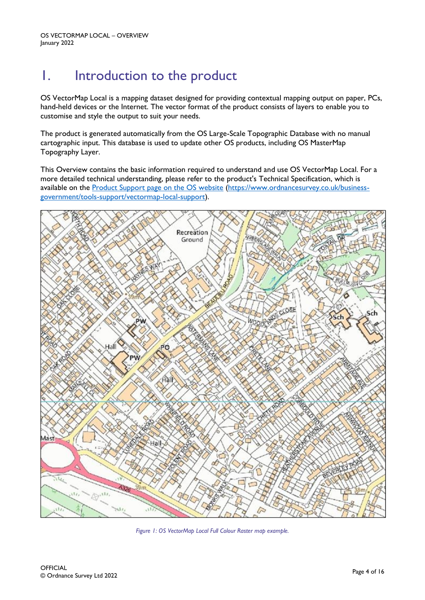# 1. Introduction to the product

OS VectorMap Local is a mapping dataset designed for providing contextual mapping output on paper, PCs, hand-held devices or the Internet. The vector format of the product consists of layers to enable you to customise and style the output to suit your needs.

The product is generated automatically from the OS Large-Scale Topographic Database with no manual cartographic input. This database is used to update other OS products, including OS MasterMap Topography Layer.

This Overview contains the basic information required to understand and use OS VectorMap Local. For a more detailed technical understanding, please refer to the product's Technical Specification, which is available on the [Product Support page on the OS website](https://www.ordnancesurvey.co.uk/business-government/tools-support/vectormap-local-support) [\(https://www.ordnancesurvey.co.uk/business](https://www.ordnancesurvey.co.uk/business-government/tools-support/vectormap-local-support)[government/tools-support/vectormap-local-support\)](https://www.ordnancesurvey.co.uk/business-government/tools-support/vectormap-local-support).



*Figure 1: OS VectorMap Local Full Colour Raster map example.*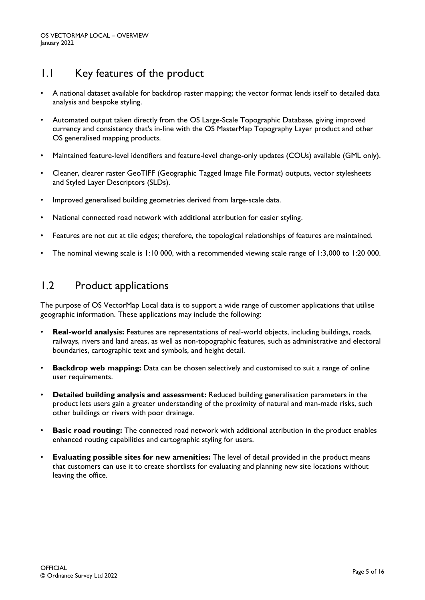# 1.1 Key features of the product

- A national dataset available for backdrop raster mapping; the vector format lends itself to detailed data analysis and bespoke styling.
- Automated output taken directly from the OS Large-Scale Topographic Database, giving improved currency and consistency that's in-line with the OS MasterMap Topography Layer product and other OS generalised mapping products.
- Maintained feature-level identifiers and feature-level change-only updates (COUs) available (GML only).
- Cleaner, clearer raster GeoTIFF (Geographic Tagged Image File Format) outputs, vector stylesheets and Styled Layer Descriptors (SLDs).
- Improved generalised building geometries derived from large-scale data.
- National connected road network with additional attribution for easier styling.
- Features are not cut at tile edges; therefore, the topological relationships of features are maintained.
- The nominal viewing scale is 1:10 000, with a recommended viewing scale range of 1:3,000 to 1:20 000.

## 1.2 Product applications

The purpose of OS VectorMap Local data is to support a wide range of customer applications that utilise geographic information. These applications may include the following:

- **Real-world analysis:** Features are representations of real-world objects, including buildings, roads, railways, rivers and land areas, as well as non-topographic features, such as administrative and electoral boundaries, cartographic text and symbols, and height detail.
- **Backdrop web mapping:** Data can be chosen selectively and customised to suit a range of online user requirements.
- **Detailed building analysis and assessment:** Reduced building generalisation parameters in the product lets users gain a greater understanding of the proximity of natural and man-made risks, such other buildings or rivers with poor drainage.
- **Basic road routing:** The connected road network with additional attribution in the product enables enhanced routing capabilities and cartographic styling for users.
- **Evaluating possible sites for new amenities:** The level of detail provided in the product means that customers can use it to create shortlists for evaluating and planning new site locations without leaving the office.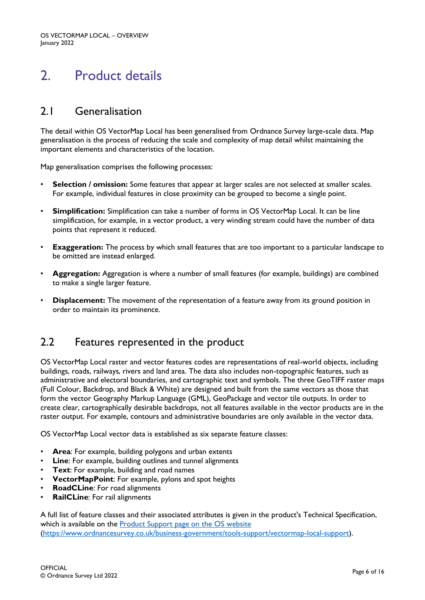# 2. Product details

## 2.1 Generalisation

The detail within OS VectorMap Local has been generalised from Ordnance Survey large-scale data. Map generalisation is the process of reducing the scale and complexity of map detail whilst maintaining the important elements and characteristics of the location.

Map generalisation comprises the following processes:

- **Selection / omission:** Some features that appear at larger scales are not selected at smaller scales. For example, individual features in close proximity can be grouped to become a single point.
- **Simplification:** Simplification can take a number of forms in OS VectorMap Local. It can be line simplification, for example, in a vector product, a very winding stream could have the number of data points that represent it reduced.
- **Exaggeration:** The process by which small features that are too important to a particular landscape to be omitted are instead enlarged.
- **Aggregation:** Aggregation is where a number of small features (for example, buildings) are combined to make a single larger feature.
- **Displacement:** The movement of the representation of a feature away from its ground position in order to maintain its prominence.

## 2.2 Features represented in the product

OS VectorMap Local raster and vector features codes are representations of real-world objects, including buildings, roads, railways, rivers and land area. The data also includes non-topographic features, such as administrative and electoral boundaries, and cartographic text and symbols. The three GeoTIFF raster maps (Full Colour, Backdrop, and Black & White) are designed and built from the same vectors as those that form the vector Geography Markup Language (GML), GeoPackage and vector tile outputs. In order to create clear, cartographically desirable backdrops, not all features available in the vector products are in the raster output. For example, contours and administrative boundaries are only available in the vector data.

OS VectorMap Local vector data is established as six separate feature classes:

- Area: For example, building polygons and urban extents
- **Line**: For example, building outlines and tunnel alignments
- **Text**: For example, building and road names
- **VectorMapPoint**: For example, pylons and spot heights
- **RoadCLine:** For road alignments
- **RailCLine**: For rail alignments

A full list of feature classes and their associated attributes is given in the product's Technical Specification, which is available on the **Product Support page on the OS website** [\(https://www.ordnancesurvey.co.uk/business-government/tools-support/vectormap-local-support\)](https://www.ordnancesurvey.co.uk/business-government/tools-support/vectormap-local-support).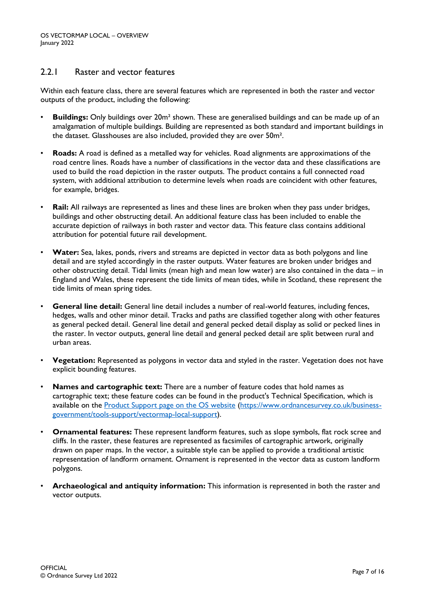## 2.2.1 Raster and vector features

Within each feature class, there are several features which are represented in both the raster and vector outputs of the product, including the following:

- **Buildings:** Only buildings over 20m² shown. These are generalised buildings and can be made up of an amalgamation of multiple buildings. Building are represented as both standard and important buildings in the dataset. Glasshouses are also included, provided they are over 50m².
- **Roads:** A road is defined as a metalled way for vehicles. Road alignments are approximations of the road centre lines. Roads have a number of classifications in the vector data and these classifications are used to build the road depiction in the raster outputs. The product contains a full connected road system, with additional attribution to determine levels when roads are coincident with other features, for example, bridges.
- **Rail:** All railways are represented as lines and these lines are broken when they pass under bridges, buildings and other obstructing detail. An additional feature class has been included to enable the accurate depiction of railways in both raster and vector data. This feature class contains additional attribution for potential future rail development.
- **Water:** Sea, lakes, ponds, rivers and streams are depicted in vector data as both polygons and line detail and are styled accordingly in the raster outputs. Water features are broken under bridges and other obstructing detail. Tidal limits (mean high and mean low water) are also contained in the data – in England and Wales, these represent the tide limits of mean tides, while in Scotland, these represent the tide limits of mean spring tides.
- **General line detail:** General line detail includes a number of real-world features, including fences, hedges, walls and other minor detail. Tracks and paths are classified together along with other features as general pecked detail. General line detail and general pecked detail display as solid or pecked lines in the raster. In vector outputs, general line detail and general pecked detail are split between rural and urban areas.
- **Vegetation:** Represented as polygons in vector data and styled in the raster. Vegetation does not have explicit bounding features.
- **Names and cartographic text:** There are a number of feature codes that hold names as cartographic text; these feature codes can be found in the product's Technical Specification, which is available on the **Product Support page on the OS website [\(https://www.ordnancesurvey.co.uk/business](https://www.ordnancesurvey.co.uk/business-government/tools-support/vectormap-local-support)**[government/tools-support/vectormap-local-support\)](https://www.ordnancesurvey.co.uk/business-government/tools-support/vectormap-local-support).
- **Ornamental features:** These represent landform features, such as slope symbols, flat rock scree and cliffs. In the raster, these features are represented as facsimiles of cartographic artwork, originally drawn on paper maps. In the vector, a suitable style can be applied to provide a traditional artistic representation of landform ornament. Ornament is represented in the vector data as custom landform polygons.
- **Archaeological and antiquity information:** This information is represented in both the raster and vector outputs.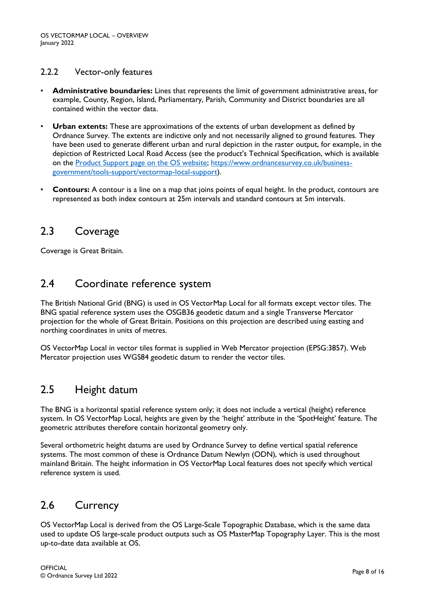### 2.2.2 Vector-only features

- **Administrative boundaries:** Lines that represents the limit of government administrative areas, for example, County, Region, Island, Parliamentary, Parish, Community and District boundaries are all contained within the vector data.
- **Urban extents:** These are approximations of the extents of urban development as defined by Ordnance Survey. The extents are indictive only and not necessarily aligned to ground features. They have been used to generate different urban and rural depiction in the raster output, for example, in the depiction of Restricted Local Road Access (see the product's Technical Specification, which is available on the [Product Support page on the OS website; https://www.ordnancesurvey.co.uk/business](https://www.ordnancesurvey.co.uk/business-government/tools-support/vectormap-local-support)[government/tools-support/vectormap-local-support\)](https://www.ordnancesurvey.co.uk/business-government/tools-support/vectormap-local-support).
- **Contours:** A contour is a line on a map that joins points of equal height. In the product, contours are represented as both index contours at 25m intervals and standard contours at 5m intervals.

## 2.3 Coverage

Coverage is Great Britain.

## 2.4 Coordinate reference system

The British National Grid (BNG) is used in OS VectorMap Local for all formats except vector tiles. The BNG spatial reference system uses the OSGB36 geodetic datum and a single Transverse Mercator projection for the whole of Great Britain. Positions on this projection are described using easting and northing coordinates in units of metres.

OS VectorMap Local in vector tiles format is supplied in Web Mercator projection (EPSG:3857). Web Mercator projection uses WGS84 geodetic datum to render the vector tiles.

## 2.5 Height datum

The BNG is a horizontal spatial reference system only; it does not include a vertical (height) reference system. In OS VectorMap Local, heights are given by the 'height' attribute in the 'SpotHeight' feature. The geometric attributes therefore contain horizontal geometry only.

Several orthometric height datums are used by Ordnance Survey to define vertical spatial reference systems. The most common of these is Ordnance Datum Newlyn (ODN), which is used throughout mainland Britain. The height information in OS VectorMap Local features does not specify which vertical reference system is used.

## 2.6 Currency

OS VectorMap Local is derived from the OS Large-Scale Topographic Database, which is the same data used to update OS large-scale product outputs such as OS MasterMap Topography Layer. This is the most up-to-date data available at OS.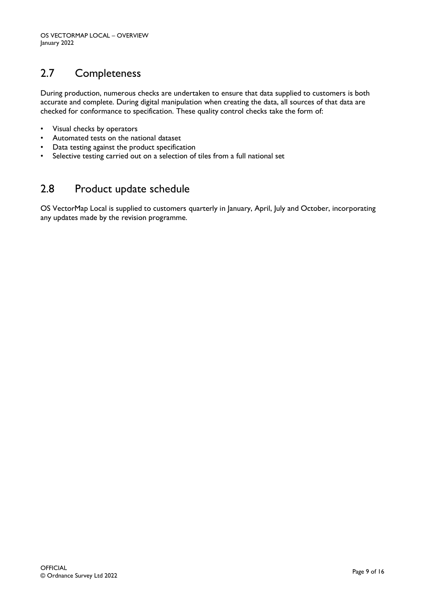# 2.7 Completeness

During production, numerous checks are undertaken to ensure that data supplied to customers is both accurate and complete. During digital manipulation when creating the data, all sources of that data are checked for conformance to specification. These quality control checks take the form of:

- Visual checks by operators
- Automated tests on the national dataset
- Data testing against the product specification
- Selective testing carried out on a selection of tiles from a full national set

## 2.8 Product update schedule

OS VectorMap Local is supplied to customers quarterly in January, April, July and October, incorporating any updates made by the revision programme.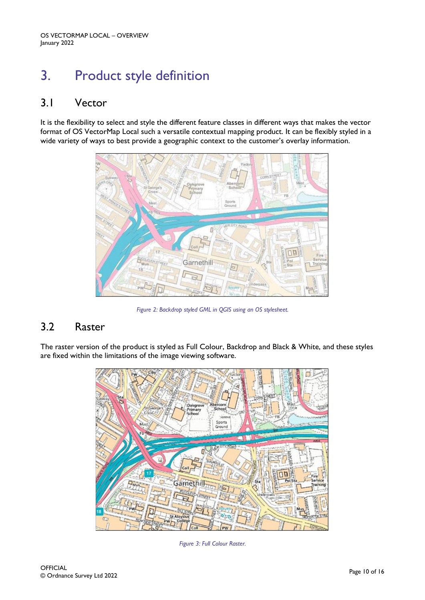# 3. Product style definition

## 3.1 Vector

It is the flexibility to select and style the different feature classes in different ways that makes the vector format of OS VectorMap Local such a versatile contextual mapping product. It can be flexibly styled in a wide variety of ways to best provide a geographic context to the customer's overlay information.



*Figure 2: Backdrop styled GML in QGIS using an OS stylesheet.*

## 3.2 Raster

The raster version of the product is styled as Full Colour, Backdrop and Black & White, and these styles are fixed within the limitations of the image viewing software.



*Figure 3: Full Colour Raster.*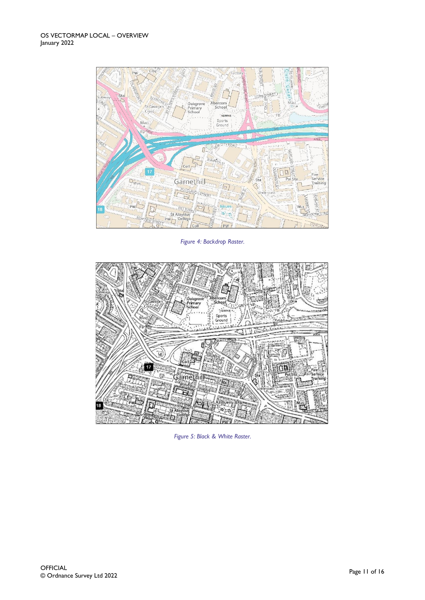

*Figure 4: Backdrop Raster.*



*Figure 5: Black & White Raster.*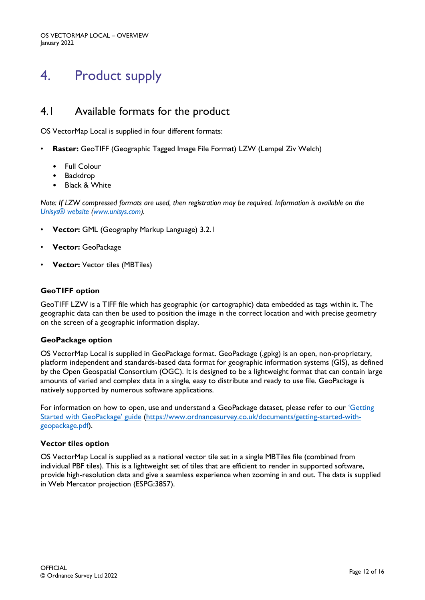# 4. Product supply

## 4.1 Available formats for the product

OS VectorMap Local is supplied in four different formats:

- **Raster:** GeoTIFF (Geographic Tagged Image File Format) LZW (Lempel Ziv Welch)
	- Full Colour
	- Backdrop
	- Black & White

*Note: If LZW compressed formats are used, then registration may be required. Information is available on the [Unisys® website](https://www.unisys.com/) [\(www.unisys.com\)](http://www.unisys.com/).*

- **Vector:** GML (Geography Markup Language) 3.2.1
- **Vector:** GeoPackage
- **Vector:** Vector tiles (MBTiles)

### **GeoTIFF option**

GeoTIFF LZW is a TIFF file which has geographic (or cartographic) data embedded as tags within it. The geographic data can then be used to position the image in the correct location and with precise geometry on the screen of a geographic information display.

#### **GeoPackage option**

OS VectorMap Local is supplied in GeoPackage format. GeoPackage (.gpkg) is an open, non-proprietary, platform independent and standards-based data format for geographic information systems (GIS), as defined by the Open Geospatial Consortium (OGC). It is designed to be a lightweight format that can contain large amounts of varied and complex data in a single, easy to distribute and ready to use file. GeoPackage is natively supported by numerous software applications.

For information on how to open, use and understand a GeoPackage dataset, please refer to our 'Getting [Started with GeoPackage' guide](https://www.ordnancesurvey.co.uk/documents/getting-started-with-geopackage.pdf) [\(https://www.ordnancesurvey.co.uk/documents/getting-started-with](https://www.ordnancesurvey.co.uk/documents/getting-started-with-geopackage.pdf)[geopackage.pdf\)](https://www.ordnancesurvey.co.uk/documents/getting-started-with-geopackage.pdf).

#### **Vector tiles option**

OS VectorMap Local is supplied as a national vector tile set in a single MBTiles file (combined from individual PBF tiles). This is a lightweight set of tiles that are efficient to render in supported software, provide high-resolution data and give a seamless experience when zooming in and out. The data is supplied in Web Mercator projection (ESPG:3857).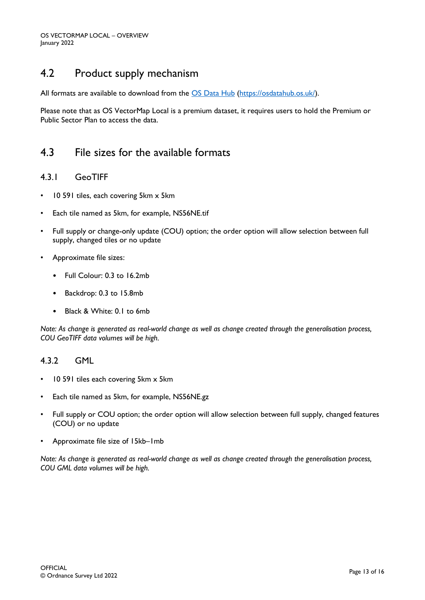## 4.2 Product supply mechanism

All formats are available to download from the [OS Data Hub](https://osdatahub.os.uk/) [\(https://osdatahub.os.uk/\)](https://osdatahub.os.uk/).

Please note that as OS VectorMap Local is a premium dataset, it requires users to hold the Premium or Public Sector Plan to access the data.

## 4.3 File sizes for the available formats

### 4.3.1 GeoTIFF

- 10 591 tiles, each covering 5km x 5km
- Each tile named as 5km, for example, NS56NE.tif
- Full supply or change-only update (COU) option; the order option will allow selection between full supply, changed tiles or no update
- Approximate file sizes:
	- Full Colour: 0.3 to 16.2mb
	- Backdrop: 0.3 to 15.8mb
	- Black & White: 0.1 to 6mb

*Note: As change is generated as real-world change as well as change created through the generalisation process, COU GeoTIFF data volumes will be high.*

## 4.3.2 GML

- 10 591 tiles each covering 5km x 5km
- Each tile named as 5km, for example, NS56NE.gz
- Full supply or COU option; the order option will allow selection between full supply, changed features (COU) or no update
- Approximate file size of 15kb–1mb

*Note: As change is generated as real-world change as well as change created through the generalisation process, COU GML data volumes will be high.*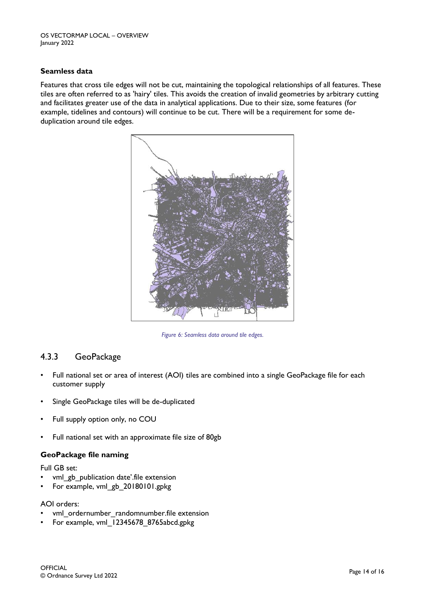### **Seamless data**

Features that cross tile edges will not be cut, maintaining the topological relationships of all features. These tiles are often referred to as 'hairy' tiles. This avoids the creation of invalid geometries by arbitrary cutting and facilitates greater use of the data in analytical applications. Due to their size, some features (for example, tidelines and contours) will continue to be cut. There will be a requirement for some deduplication around tile edges.



*Figure 6: Seamless data around tile edges.*

## 4.3.3 GeoPackage

- Full national set or area of interest (AOI) tiles are combined into a single GeoPackage file for each customer supply
- Single GeoPackage tiles will be de-duplicated
- Full supply option only, no COU
- Full national set with an approximate file size of 80gb

### **GeoPackage file naming**

Full GB set:

- vml\_gb\_publication date'.file extension
- For example, vml\_gb\_20180101.gpkg

AOI orders:

- vml ordernumber randomnumber.file extension
- For example, vml\_12345678\_8765abcd.gpkg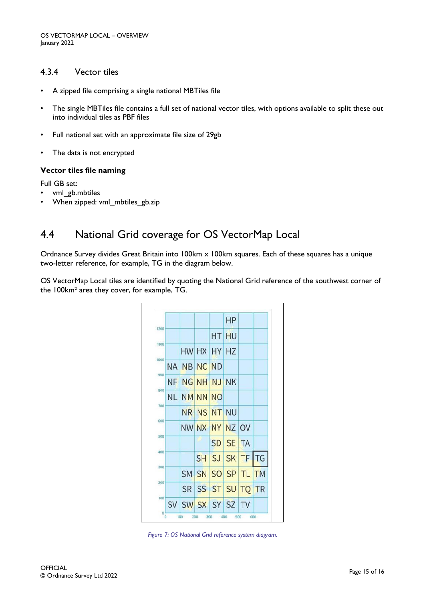### 4.3.4 Vector tiles

- A zipped file comprising a single national MBTiles file
- The single MBTiles file contains a full set of national vector tiles, with options available to split these out into individual tiles as PBF files
- Full national set with an approximate file size of 29gb
- The data is not encrypted

#### **Vector tiles file naming**

Full GB set:

- vml\_gb.mbtiles
- When zipped: vml mbtiles gb.zip

## 4.4 National Grid coverage for OS VectorMap Local

Ordnance Survey divides Great Britain into 100km x 100km squares. Each of these squares has a unique two-letter reference, for example, TG in the diagram below.

OS VectorMap Local tiles are identified by quoting the National Grid reference of the southwest corner of the 100km² area they cover, for example, TG.



*Figure 7: OS National Grid reference system diagram.*